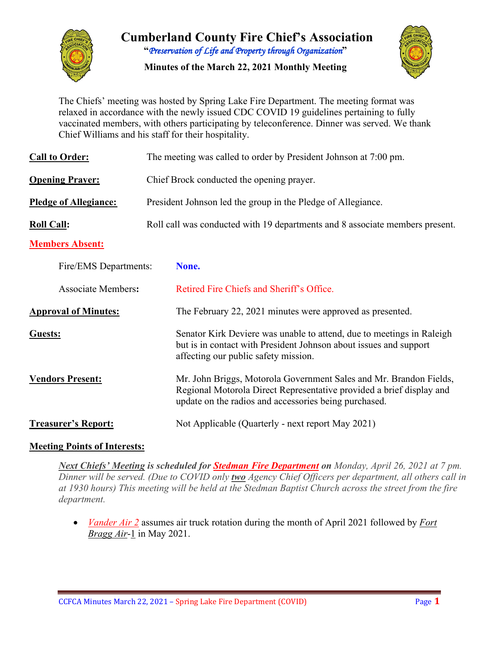

**Cumberland County Fire Chief's Association "***Preservation of Life and Property through Organization***"**

**Minutes of the March 22, 2021 Monthly Meeting**



The Chiefs' meeting was hosted by Spring Lake Fire Department. The meeting format was relaxed in accordance with the newly issued CDC COVID 19 guidelines pertaining to fully vaccinated members, with others participating by teleconference. Dinner was served. We thank Chief Williams and his staff for their hospitality.

| <b>Call to Order:</b>        | The meeting was called to order by President Johnson at 7:00 pm. |                                                                                                                                                                                                     |  |  |  |  |  |  |  |
|------------------------------|------------------------------------------------------------------|-----------------------------------------------------------------------------------------------------------------------------------------------------------------------------------------------------|--|--|--|--|--|--|--|
| <b>Opening Prayer:</b>       |                                                                  | Chief Brock conducted the opening prayer.                                                                                                                                                           |  |  |  |  |  |  |  |
| <b>Pledge of Allegiance:</b> |                                                                  | President Johnson led the group in the Pledge of Allegiance.                                                                                                                                        |  |  |  |  |  |  |  |
| <b>Roll Call:</b>            |                                                                  | Roll call was conducted with 19 departments and 8 associate members present.                                                                                                                        |  |  |  |  |  |  |  |
| <b>Members Absent:</b>       |                                                                  |                                                                                                                                                                                                     |  |  |  |  |  |  |  |
| Fire/EMS Departments:        |                                                                  | None.                                                                                                                                                                                               |  |  |  |  |  |  |  |
| <b>Associate Members:</b>    |                                                                  | Retired Fire Chiefs and Sheriff's Office.                                                                                                                                                           |  |  |  |  |  |  |  |
| <b>Approval of Minutes:</b>  |                                                                  | The February 22, 2021 minutes were approved as presented.                                                                                                                                           |  |  |  |  |  |  |  |
| Guests:                      |                                                                  | Senator Kirk Deviere was unable to attend, due to meetings in Raleigh<br>but is in contact with President Johnson about issues and support<br>affecting our public safety mission.                  |  |  |  |  |  |  |  |
| <b>Vendors Present:</b>      |                                                                  | Mr. John Briggs, Motorola Government Sales and Mr. Brandon Fields,<br>Regional Motorola Direct Representative provided a brief display and<br>update on the radios and accessories being purchased. |  |  |  |  |  |  |  |
| <b>Treasurer's Report:</b>   |                                                                  | Not Applicable (Quarterly - next report May 2021)                                                                                                                                                   |  |  |  |  |  |  |  |

## **Meeting Points of Interests:**

*Next Chiefs' Meeting is scheduled for Stedman Fire Department on Monday, April 26, 2021 at 7 pm. Dinner will be served. (Due to COVID only two Agency Chief Officers per department, all others call in at 1930 hours) This meeting will be held at the Stedman Baptist Church across the street from the fire department.*

• *Vander Air 2* assumes air truck rotation during the month of April 2021 followed by *Fort Bragg Air*-1 in May 2021.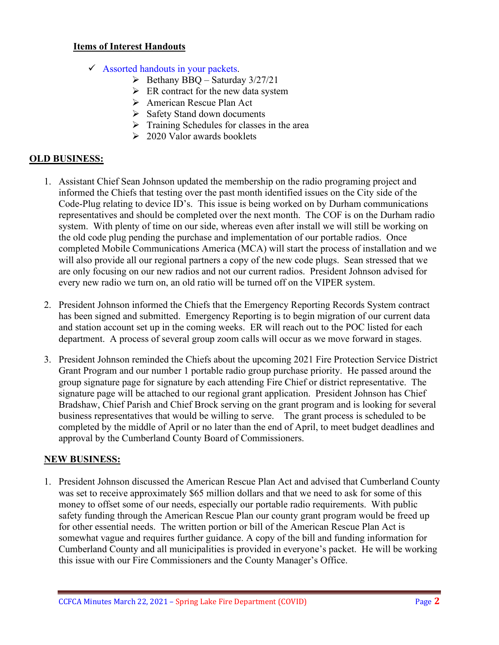#### **Items of Interest Handouts**

- $\checkmark$  Assorted handouts in your packets.
	- $\triangleright$  Bethany BBQ Saturday 3/27/21
	- $\triangleright$  ER contract for the new data system
	- American Rescue Plan Act
	- $\triangleright$  Safety Stand down documents
	- $\triangleright$  Training Schedules for classes in the area
	- $\geq 2020$  Valor awards booklets

#### **OLD BUSINESS:**

- 1. Assistant Chief Sean Johnson updated the membership on the radio programing project and informed the Chiefs that testing over the past month identified issues on the City side of the Code-Plug relating to device ID's. This issue is being worked on by Durham communications representatives and should be completed over the next month. The COF is on the Durham radio system. With plenty of time on our side, whereas even after install we will still be working on the old code plug pending the purchase and implementation of our portable radios. Once completed Mobile Communications America (MCA) will start the process of installation and we will also provide all our regional partners a copy of the new code plugs. Sean stressed that we are only focusing on our new radios and not our current radios. President Johnson advised for every new radio we turn on, an old ratio will be turned off on the VIPER system.
- 2. President Johnson informed the Chiefs that the Emergency Reporting Records System contract has been signed and submitted. Emergency Reporting is to begin migration of our current data and station account set up in the coming weeks. ER will reach out to the POC listed for each department. A process of several group zoom calls will occur as we move forward in stages.
- 3. President Johnson reminded the Chiefs about the upcoming 2021 Fire Protection Service District Grant Program and our number 1 portable radio group purchase priority. He passed around the group signature page for signature by each attending Fire Chief or district representative. The signature page will be attached to our regional grant application. President Johnson has Chief Bradshaw, Chief Parish and Chief Brock serving on the grant program and is looking for several business representatives that would be willing to serve. The grant process is scheduled to be completed by the middle of April or no later than the end of April, to meet budget deadlines and approval by the Cumberland County Board of Commissioners.

## **NEW BUSINESS:**

1. President Johnson discussed the American Rescue Plan Act and advised that Cumberland County was set to receive approximately \$65 million dollars and that we need to ask for some of this money to offset some of our needs, especially our portable radio requirements. With public safety funding through the American Rescue Plan our county grant program would be freed up for other essential needs. The written portion or bill of the American Rescue Plan Act is somewhat vague and requires further guidance. A copy of the bill and funding information for Cumberland County and all municipalities is provided in everyone's packet. He will be working this issue with our Fire Commissioners and the County Manager's Office.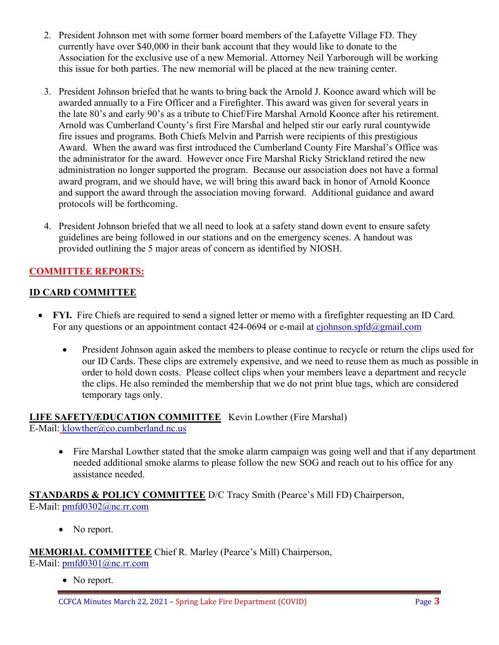- 2. President Johnson met with some former board members of the Lafayette Village FD. They currently have over \$40,000 in their bank account that they would like to donate to the Association for the exclusive use of a new Memorial. Attorney Neil Yarborough will be working this issue for both parties. The new memorial will be placed at the new training center.
- 3. President Johnson briefed that he wants to bring back the Arnold J. Koonce award which will be awarded annually to a Fire Officer and a Firefighter. This award was given for several years in the late 80's and early 90's as a tribute to Chief/Fire Marshal Arnold Koonce after his retirement. Arnold was Cumberland County's first Fire Marshal and helped stir our early rural countywide fire issues and programs. Both Chiefs Melvin and Parrish were recipients of this prestigious Award. When the award was first introduced the Cumberland County Fire Marshal's Office was the administrator for the award. However once Fire Marshal Ricky Strickland retired the new administration no longer supported the program. Because our association does not have a formal award program, and we should have, we will bring this award back in honor of Arnold Koonce and support the award through the association moving forward. Additional guidance and award protocols will be forthcoming.
- 4. President Johnson briefed that we all need to look at a safety stand down event to ensure safety guidelines are being followed in our stations and on the emergency scenes. A handout was provided outlining the 5 major areas of concern as identified by NIOSH.

# **COMMITTEE REPORTS:**

## **ID CARD COMMITTEE**

- **FYI.** Fire Chiefs are required to send a signed letter or memo with a firefighter requesting an ID Card. For any questions or an appointment contact 424-0694 or e-mail at  $c$ *johnson.spfd* $@g$ *mail.com* 
	- President Johnson again asked the members to please continue to recycle or return the clips used for our ID Cards. These clips are extremely expensive, and we need to reuse them as much as possible in order to hold down costs. Please collect clips when your members leave a department and recycle the clips. He also reminded the membership that we do not print blue tags, which are considered temporary tags only.

#### **LIFE SAFETY/EDUCATION COMMITTEE** Kevin Lowther (Fire Marshal) E-Mail: [klowther@co.cumberland.nc.us](mailto:klowther@co.cumberland.nc.us)

• Fire Marshal Lowther stated that the smoke alarm campaign was going well and that if any department needed additional smoke alarms to please follow the new SOG and reach out to his office for any assistance needed.

#### **STANDARDS & POLICY COMMITTEE** D/C Tracy Smith (Pearce's Mill FD) Chairperson, E-Mail: [pmfd0302@nc.rr.com](mailto:pmfd0302@nc.rr.com)

• No report.

**MEMORIAL COMMITTEE** Chief R. Marley (Pearce's Mill) Chairperson, E-Mail: [pmfd0301@nc.rr.com](mailto:pmfd0301@nc.rr.com)

• No report.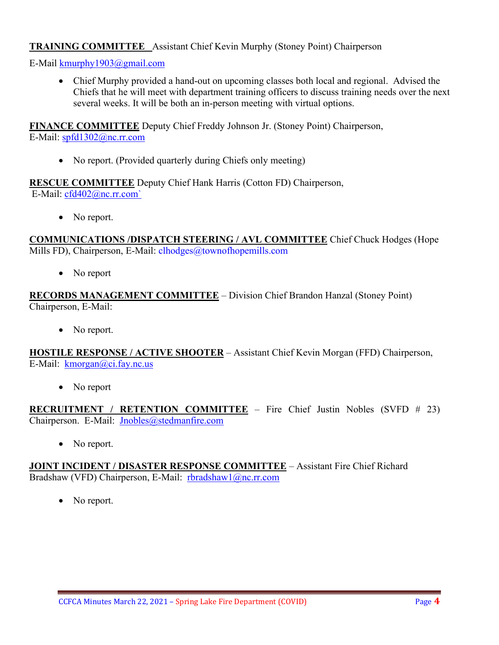#### **TRAINING COMMITTEE** Assistant Chief Kevin Murphy (Stoney Point) Chairperson

E-Mail [kmurphy1903@gmail.com](mailto:kmurphy1903@gmail.com)

• Chief Murphy provided a hand-out on upcoming classes both local and regional. Advised the Chiefs that he will meet with department training officers to discuss training needs over the next several weeks. It will be both an in-person meeting with virtual options.

**FINANCE COMMITTEE** Deputy Chief Freddy Johnson Jr. (Stoney Point) Chairperson, E-Mail: [spfd1302@nc.rr.com](mailto:spfd1302@nc.rr.com)

• No report. (Provided quarterly during Chiefs only meeting)

**RESCUE COMMITTEE** Deputy Chief Hank Harris (Cotton FD) Chairperson, E-Mail: [cfd402@nc.rr.com`](mailto:cfd402@nc.rr.com)

• No report.

**COMMUNICATIONS /DISPATCH STEERING / AVL COMMITTEE** Chief Chuck Hodges (Hope Mills FD), Chairperson, E-Mail: clhodges@townofhopemills.com

• No report

**RECORDS MANAGEMENT COMMITTEE** – Division Chief Brandon Hanzal (Stoney Point) Chairperson, E-Mail:

• No report.

**HOSTILE RESPONSE / ACTIVE SHOOTER** – Assistant Chief Kevin Morgan (FFD) Chairperson, E-Mail: [kmorgan@ci.fay.nc.us](mailto:kmorgan@ci.fay.nc.us)

• No report

**RECRUITMENT / RETENTION COMMITTEE** – Fire Chief Justin Nobles (SVFD # 23) Chairperson. E-Mail: [Jnobles@stedmanfire.com](mailto:Jnobles@stedmanfire.com)

• No report.

**JOINT INCIDENT / DISASTER RESPONSE COMMITTEE** – Assistant Fire Chief Richard Bradshaw (VFD) Chairperson, E-Mail: [rbradshaw1@nc.rr.com](mailto:rbradshaw1@nc.rr.com)

No report.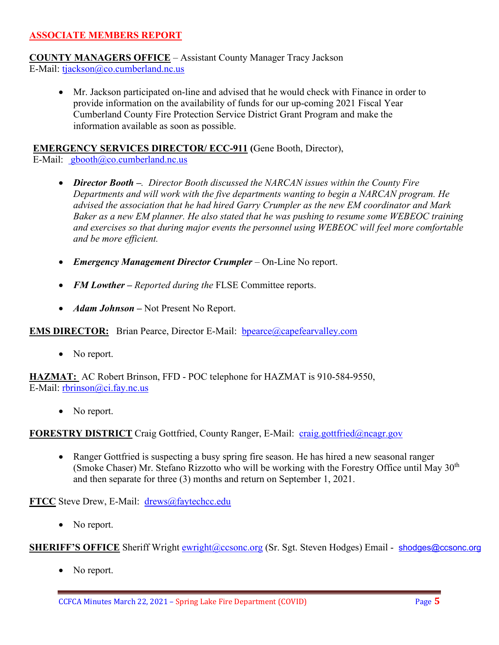#### **ASSOCIATE MEMBERS REPORT**

**COUNTY MANAGERS OFFICE** – Assistant County Manager Tracy Jackson E-Mail: [tjackson@co.cumberland.nc.us](mailto:tjackson@co.cumberland.nc.us)

• Mr. Jackson participated on-line and advised that he would check with Finance in order to provide information on the availability of funds for our up-coming 2021 Fiscal Year Cumberland County Fire Protection Service District Grant Program and make the information available as soon as possible.

**EMERGENCY SERVICES DIRECTOR/ ECC-911 (**Gene Booth, Director), E-Mail: [gbooth@co.cumberland.nc.us](mailto:gbooth@co.cumberland.nc.us)

- *Director Booth –. Director Booth discussed the NARCAN issues within the County Fire Departments and will work with the five departments wanting to begin a NARCAN program. He advised the association that he had hired Garry Crumpler as the new EM coordinator and Mark Baker as a new EM planner. He also stated that he was pushing to resume some WEBEOC training and exercises so that during major events the personnel using WEBEOC will feel more comfortable and be more efficient.*
- *Emergency Management Director Crumpler* On-Line No report.
- *FM Lowther Reported during the FLSE Committee reports.*
- *Adam Johnson* Not Present No Report.

**EMS DIRECTOR:** Brian Pearce, Director E-Mail: **bpearce@capefearvalley.com** 

• No report.

**HAZMAT:** AC Robert Brinson, FFD - POC telephone for HAZMAT is 910-584-9550, E-Mail: [rbrinson@ci.fay.nc.us](mailto:rbrinson@ci.fay.nc.us)

• No report.

**FORESTRY DISTRICT** Craig Gottfried, County Ranger, E-Mail: [craig.gottfried@ncagr.gov](mailto:craig.gottfried@ncagr.gov)

• Ranger Gottfried is suspecting a busy spring fire season. He has hired a new seasonal ranger (Smoke Chaser) Mr. Stefano Rizzotto who will be working with the Forestry Office until May  $30<sup>th</sup>$ and then separate for three (3) months and return on September 1, 2021.

**FTCC** Steve Drew, E-Mail: [drews@faytechcc.edu](mailto:drews@faytechcc.edu)

• No report.

**SHERIFF'S OFFICE** Sheriff Wright [ewright@ccsonc.org](mailto:ewright@ccsonc.org) (Sr. Sgt. Steven Hodges) Email - [shodges@ccsonc.org](mailto:shodges@ccsonc.org)

No report.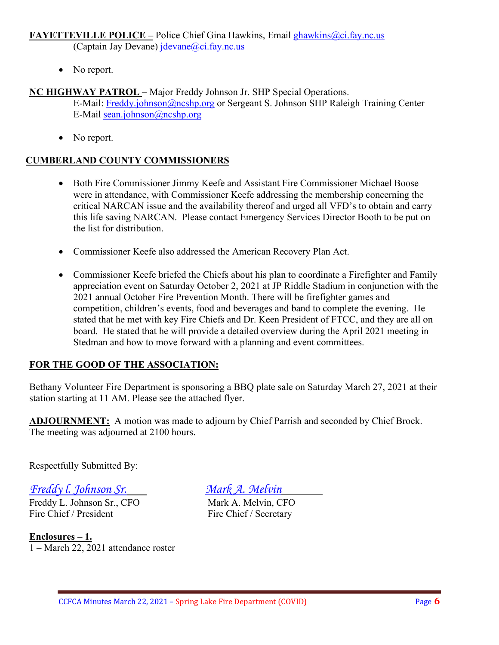# **FAYETTEVILLE POLICE –** Police Chief Gina Hawkins, Email [ghawkins@ci.fay.nc.us](mailto:ghawkins@ci.fay.nc.us)

(Captain Jay Devane) [jdevane@ci.fay.nc.us](mailto:jdevane@ci.fay.nc.us)

• No report.

# **NC HIGHWAY PATROL** – Major Freddy Johnson Jr. SHP Special Operations.

E-Mail: [Freddy.johnson@ncshp.org](mailto:Freddy.johnson@ncshp.org) or Sergeant S. Johnson SHP Raleigh Training Center E-Mail [sean.johnson@ncshp.org](mailto:sean.johnson@ncshp.org)

• No report.

## **CUMBERLAND COUNTY COMMISSIONERS**

- Both Fire Commissioner Jimmy Keefe and Assistant Fire Commissioner Michael Boose were in attendance, with Commissioner Keefe addressing the membership concerning the critical NARCAN issue and the availability thereof and urged all VFD's to obtain and carry this life saving NARCAN. Please contact Emergency Services Director Booth to be put on the list for distribution.
- Commissioner Keefe also addressed the American Recovery Plan Act.
- Commissioner Keefe briefed the Chiefs about his plan to coordinate a Firefighter and Family appreciation event on Saturday October 2, 2021 at JP Riddle Stadium in conjunction with the 2021 annual October Fire Prevention Month. There will be firefighter games and competition, children's events, food and beverages and band to complete the evening. He stated that he met with key Fire Chiefs and Dr. Keen President of FTCC, and they are all on board. He stated that he will provide a detailed overview during the April 2021 meeting in Stedman and how to move forward with a planning and event committees.

# **FOR THE GOOD OF THE ASSOCIATION:**

Bethany Volunteer Fire Department is sponsoring a BBQ plate sale on Saturday March 27, 2021 at their station starting at 11 AM. Please see the attached flyer.

**ADJOURNMENT:** A motion was made to adjourn by Chief Parrish and seconded by Chief Brock. The meeting was adjourned at 2100 hours.

Respectfully Submitted By:

*Freddy l. Johnson Sr. Mark A. Melvin*

Freddy L. Johnson Sr., CFO<br>Fire Chief / President Fire Chief / Secretary

**Enclosures – 1.** 1 – March 22, 2021 attendance roster

Fire Chief / Secretary